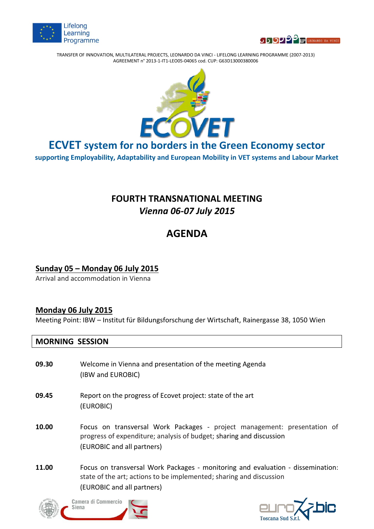



TRANSFER OF INNOVATION, MULTILATERAL PROJECTS, LEONARDO DA VINCI - LIFELONG LEARNING PROGRAMME (2007-2013) AGREEMENT n° 2013-1-IT1-LEO05-04065 cod. CUP: G63D13000380006



**ECVET system for no borders in the Green Economy sector**

**supporting Employability, Adaptability and European Mobility in VET systems and Labour Market**

## **FOURTH TRANSNATIONAL MEETING** *Vienna 06-07 July 2015*

# **AGENDA**

#### **Sunday 05 – Monday 06 July 2015**

Arrival and accommodation in Vienna

#### **Monday 06 July 2015**

Meeting Point: IBW – Institut für Bildungsforschung der Wirtschaft, Rainergasse 38, 1050 Wien

#### **MORNING SESSION**

- **09.30** Welcome in Vienna and presentation of the meeting Agenda (IBW and EUROBIC)
- **09.45** Report on the progress of Ecovet project: state of the art (EUROBIC)
- **10.00** Focus on transversal Work Packages project management: presentation of progress of expenditure; analysis of budget; sharing and discussion (EUROBIC and all partners)
- **11.00** Focus on transversal Work Packages monitoring and evaluation dissemination: state of the art; actions to be implemented; sharing and discussion (EUROBIC and all partners)





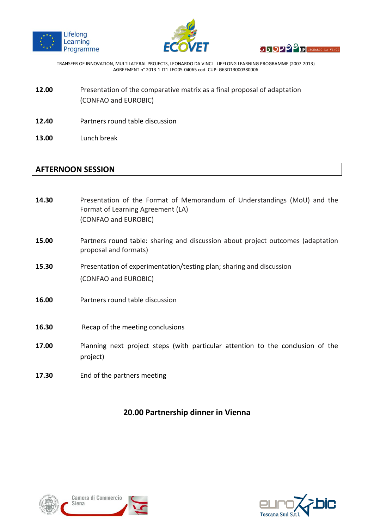





TRANSFER OF INNOVATION, MULTILATERAL PROJECTS, LEONARDO DA VINCI - LIFELONG LEARNING PROGRAMME (2007-2013) AGREEMENT n° 2013-1-IT1-LEO05-04065 cod. CUP: G63D13000380006

- **12.00** Presentation of the comparative matrix as a final proposal of adaptation (CONFAO and EUROBIC)
- **12.40** Partners round table discussion
- **13.00** Lunch break

#### **AFTERNOON SESSION**

- **14.30** Presentation of the Format of Memorandum of Understandings (MoU) and the Format of Learning Agreement (LA) (CONFAO and EUROBIC) **15.00** Partners round table: sharing and discussion about project outcomes (adaptation proposal and formats)
- **15.30** Presentation of experimentation/testing plan; sharing and discussion (CONFAO and EUROBIC)
- **16.00** Partners round table discussion
- **16.30** Recap of the meeting conclusions
- **17.00** Planning next project steps (with particular attention to the conclusion of the project)
- **17.30** End of the partners meeting

#### **20.00 Partnership dinner in Vienna**